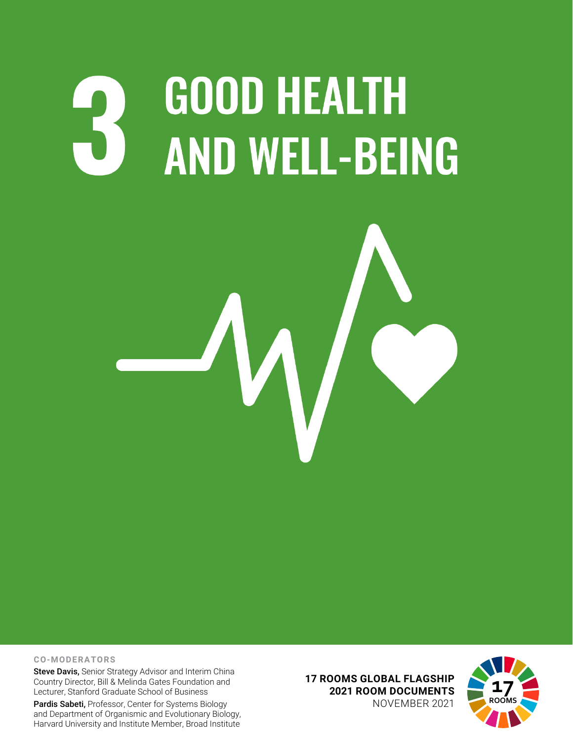# **GOOD HEALTH AND WELL-BEING**



### **CO-MODERATORS**

Steve Davis, Senior Strategy Advisor and Interim China Country Director, Bill & Melinda Gates Foundation and Lecturer, Stanford Graduate School of Business

Pardis Sabeti, Professor, Center for Systems Biology and Department of Organismic and Evolutionary Biology, Harvard University and Institute Member, Broad Institute **17 ROOMS GLOBAL FLAGSHIP 2021 ROOM DOCUMENTS** NOVEMBER 2021

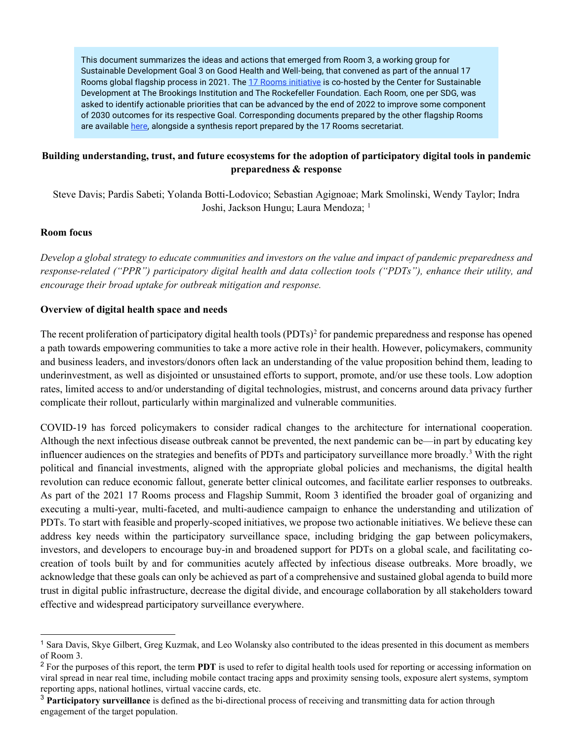This document summarizes the ideas and actions that emerged from Room 3, a working group for Sustainable Development Goal 3 on Good Health and Well-being, that convened as part of the annual 17 Rooms global flagship process in 2021. Th[e 17 Rooms initiative](https://www.brookings.edu/project/17-rooms/) is co-hosted by the Center for Sustainable Development at The Brookings Institution and The Rockefeller Foundation. Each Room, one per SDG, was asked to identify actionable priorities that can be advanced by the end of 2022 to improve some component of 2030 outcomes for its respective Goal. Corresponding documents prepared by the other flagship Rooms are available [here,](http://www.brookings.edu/17rooms2021) alongside a synthesis report prepared by the 17 Rooms secretariat.

# **Building understanding, trust, and future ecosystems for the adoption of participatory digital tools in pandemic preparedness & response**

Steve Davis; Pardis Sabeti; Yolanda Botti-Lodovico; Sebastian Agignoae; Mark Smolinski, Wendy Taylor; Indra Joshi, Jackson Hungu; Laura Mendoza; <sup>[1](#page-1-0)</sup>

## **Room focus**

*Develop a global strategy to educate communities and investors on the value and impact of pandemic preparedness and response-related ("PPR") participatory digital health and data collection tools ("PDTs"), enhance their utility, and encourage their broad uptake for outbreak mitigation and response.*

## **Overview of digital health space and needs**

The recent proliferation of participatory digital health tools (PDTs)<sup>[2](#page-1-1)</sup> for pandemic preparedness and response has opened a path towards empowering communities to take a more active role in their health. However, policymakers, community and business leaders, and investors/donors often lack an understanding of the value proposition behind them, leading to underinvestment, as well as disjointed or unsustained efforts to support, promote, and/or use these tools. Low adoption rates, limited access to and/or understanding of digital technologies, mistrust, and concerns around data privacy further complicate their rollout, particularly within marginalized and vulnerable communities.

COVID-19 has forced policymakers to consider radical changes to the architecture for international cooperation. Although the next infectious disease outbreak cannot be prevented, the next pandemic can be—in part by educating key influencer audiences on the strategies and benefits of PDTs and participatory surveillance more broadly.[3](#page-1-2) With the right political and financial investments, aligned with the appropriate global policies and mechanisms, the digital health revolution can reduce economic fallout, generate better clinical outcomes, and facilitate earlier responses to outbreaks. As part of the 2021 17 Rooms process and Flagship Summit, Room 3 identified the broader goal of organizing and executing a multi-year, multi-faceted, and multi-audience campaign to enhance the understanding and utilization of PDTs. To start with feasible and properly-scoped initiatives, we propose two actionable initiatives. We believe these can address key needs within the participatory surveillance space, including bridging the gap between policymakers, investors, and developers to encourage buy-in and broadened support for PDTs on a global scale, and facilitating cocreation of tools built by and for communities acutely affected by infectious disease outbreaks. More broadly, we acknowledge that these goals can only be achieved as part of a comprehensive and sustained global agenda to build more trust in digital public infrastructure, decrease the digital divide, and encourage collaboration by all stakeholders toward effective and widespread participatory surveillance everywhere.

<span id="page-1-0"></span><sup>1</sup> Sara Davis, Skye Gilbert, Greg Kuzmak, and Leo Wolansky also contributed to the ideas presented in this document as members of Room 3.

<span id="page-1-1"></span><sup>&</sup>lt;sup>2</sup> For the purposes of this report, the term **PDT** is used to refer to digital health tools used for reporting or accessing information on viral spread in near real time, including mobile contact tracing apps and proximity sensing tools, exposure alert systems, symptom reporting apps, national hotlines, virtual vaccine cards, etc.

<span id="page-1-2"></span><sup>3</sup> **Participatory surveillance** is defined as the bi-directional process of receiving and transmitting data for action through engagement of the target population.